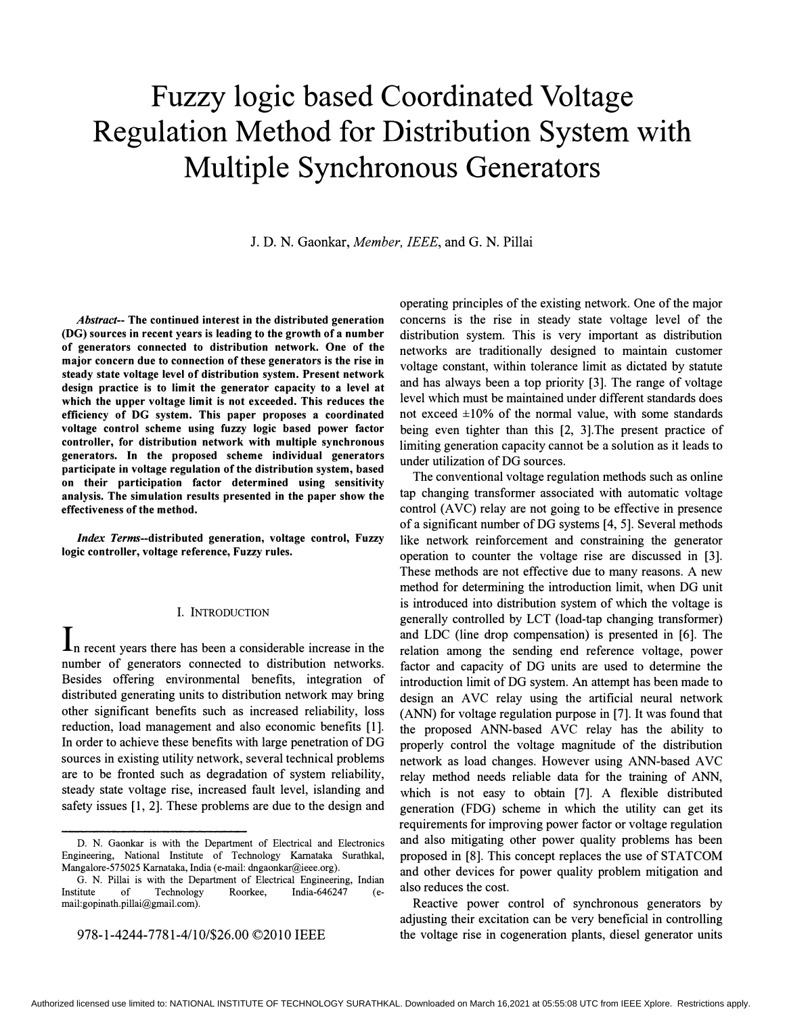# Fuzzy logic based Coordinated Voltage Regulation Method for Distribution System with Multiple Synchronous Generators

J. D. N. Gaonkar, Member, IEEE, and G. N. Pillai

Abstract-- The continued interest in the distributed generation (DG) sources in recent years is leading to the growth of a number of generators connected to distribution network. One of the major concern due to connection of these generators is the rise in steady state voltage level of distribution system. Present network design practice is to limit the generator capacity to a level at which the upper voltage limit is not exceeded. This reduces the efficiency of DG system. This paper proposes a coordinated voltage control scheme using fuzzy logic based power factor controller, for distribution network with multiple synchronous generators. In the proposed scheme individual generators participate in voltage regulation of the distribution system, based on their participation factor determined using sensitivity analysis. The simulation results presented in the paper show the effectiveness of the method.

Index Terms-distributed generation, voltage control, Fuzzy logic controller, voltage reference, Fuzzy rules.

### I. INTRODUCTION

 $\mathbf{I}_n$  recent years there has been a considerable increase in the number of generators connected to distribution networks. Besides offering environmental benefits, integration of distributed generating units to distribution network may bring other significant benefits such as increased reliability, loss reduction, load management and also economic benefits [1]. In order to achieve these benefits with large penetration of DG sources in existing utility network, several technical problems are to be fronted such as degradation of system reliability, steady state voltage rise, increased fault level, islanding and safety issues [1, 2]. These problems are due to the design and

operating principles of the existing network. One of the major concerns is the rise in steady state voltage level of the distribution system. This is very important as distribution networks are traditionally designed to maintain customer voltage constant, within tolerance limit as dictated by statute and has always been a top priority [3]. The range of voltage level which must be maintained under different standards does not exceed  $\pm 10\%$  of the normal value, with some standards being even tighter than this [2, 3].The present practice of limiting generation capacity cannot be a solution as it leads to under utilization of DG sources.

The conventional voltage regulation methods such as online tap changing transformer associated with automatic voltage control (AVC) relay are not going to be effective in presence of a significant number ofDG systems [4, 5]. Several methods like network reinforcement and constraining the generator operation to counter the voltage rise are discussed in [3]. These methods are not effective due to many reasons. A new method for determining the introduction limit, when DG unit is introduced into distribution system of which the voltage is generally controlled by LCT (load-tap changing transformer) and LDC (line drop compensation) is presented in [6]. The relation among the sending end reference voltage, power factor and capacity of DG units are used to determine the introduction limit of DG system. An attempt has been made to design an AVC relay using the artificial neural network (ANN) for voltage regulation purpose in [7]. It was found that the proposed ANN-based AVC relay has the ability to properly control the voltage magnitude of the distribution network as load changes. However using ANN-based AVC relay method needs reliable data for the training of ANN, which is not easy to obtain [7]. A flexible distributed generation (FDG) scheme in which the utility can get its requirements for improving power factor or voltage regulation and also mitigating other power quality problems has been proposed in [8]. This concept replaces the use of STATCOM and other devices for power quality problem mitigation and also reduces the cost.

Reactive power control of synchronous generators by adjusting their excitation can be very beneficial in controlling the voltage rise in cogeneration plants, diesel generator units

D. N. Gaonkar is with the Department of Electrical and Electronics Engineering, National Institute of Technology Karnataka Surathkal, Mangalore-575025 Karnataka, India (e-mail: dngaonkar@ieee.org).

G. N. Pillai is with the Department of Electrical Engineering, Indian Institute of Technology Roorkee, India-646247 (email:gopinath.pillai@gmail.com).

<sup>978-1-4244-7781-4/10/\$26.00 ©2010</sup> IEEE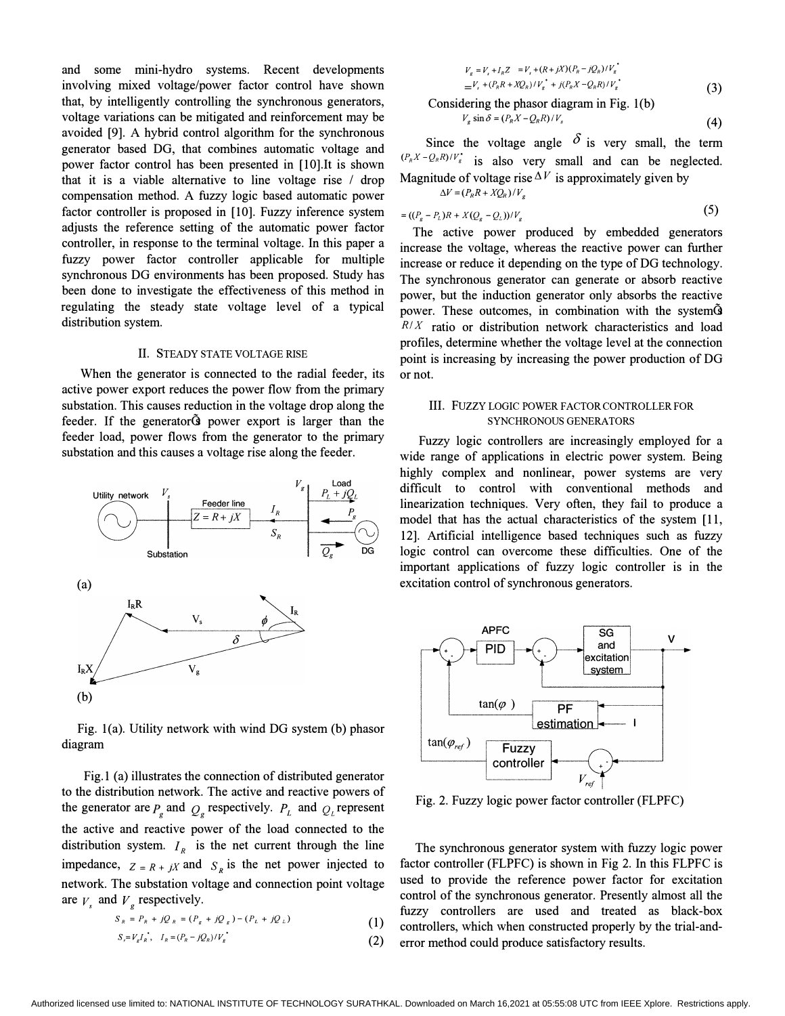and some mini-hydro systems. Recent developments involving mixed voltage/power factor control have shown that, by intelligently controlling the synchronous generators, voltage variations can be mitigated and reinforcement may be avoided [9]. A hybrid control algorithm for the synchronous generator based DG, that combines automatic voltage and power factor control has been presented in [IO].It is shown that it is a viable alternative to line voltage rise / drop compensation method. A fuzzy logic based automatic power factor controller is proposed in [10]. Fuzzy inference system adjusts the reference setting of the automatic power factor controller, in response to the terminal voltage. In this paper a fuzzy power factor controller applicable for multiple synchronous DG environments has been proposed. Study has been done to investigate the effectiveness of this method in regulating the steady state voltage level of a typical distribution system.

# II. STEADY STATE VOLTAGE RISE

When the generator is connected to the radial feeder, its active power export reduces the power flow from the primary substation. This causes reduction in the voltage drop along the feeder. If the generatorG power export is larger than the feeder load, power flows from the generator to the primary substation and this causes a voltage rise along the feeder.



Fig. l(a). Utility network with wind DG system (b) phasor diagram

Fig.l (a) illustrates the connection of distributed generator to the distribution network. The active and reactive powers of the generator are  $P_g$  and  $Q_g$  respectively.  $P_L$  and  $Q_L$  represent the active and reactive power of the load connected to the distribution system.  $I_R$  is the net current through the line impedance,  $Z = R + jX$  and  $S_R$  is the net power injected to network. The substation voltage and connection point voltage are  $V_s$  and  $V_g$  respectively.

$$
S_R = P_R + jQ_R = (P_g + jQ_g) - (P_L + jQ_L)
$$
 (1)

$$
S_r = V_g I_n, \quad I_R = (P_R - jQ_R)/V_g
$$
\n
$$
\tag{2}
$$

$$
V_s = V_s + I_R Z = V_s + (R + jX)(P_R - jQ_R)/V_s
$$
  
= 
$$
V_s + (P_R R + XQ_R)/V_s + j(P_R X - Q_R R)/V_s
$$
  
Considering the phasor diagram in Fig. 1(b) (3)

$$
V_g \sin \delta = (P_R X - Q_R R)/V_s
$$
\n(4)

Since the voltage angle  $\delta$  is very small, the term  $(P_R X - Q_R R)/V_s^*$  is also very small and can be neglected. Magnitude of voltage rise  $\Delta V$  is approximately given by  $\Delta V = (P_R R + X Q_R)/V_g$ 

$$
= ((P_g - P_L)R + X(Q_g - Q_L))/V_g
$$
 (5)

The active power produced by embedded generators increase the voltage, whereas the reactive power can further increase or reduce it depending on the type of DG technology. The synchronous generator can generate or absorb reactive power, but the induction generator only absorbs the reactive power. These outcomes, in combination with the systemG  $R/X$  ratio or distribution network characteristics and load profiles, determine whether the voltage level at the connection point is increasing by increasing the power production of DG or not.

## III. Fuzzy LOGIC POWER FACTOR CONTROLLER FOR SYNCHRONOUS GENERATORS

Fuzzy logic controllers are increasingly employed for a wide range of applications in electric power system. Being highly complex and nonlinear, power systems are very difficult to control with conventional methods and linearization techniques. Very often, they fail to produce a model that has the actual characteristics of the system [11, 12]. Artificial intelligence based techniques such as fuzzy logic control can overcome these difficulties. One of the important applications of fuzzy logic controller is in the excitation control of synchronous generators.



Fig. 2. Fuzzy logic power factor controller (FLPFC)

The synchronous generator system with fuzzy logic power factor controller (FLPFC) is shown in Fig 2. In this FLPFC is used to provide the reference power factor for excitation control of the synchronous generator. Presently almost all the fuzzy controllers are used and treated as black-box controllers, which when constructed properly by the trial-anderror method could produce satisfactory results.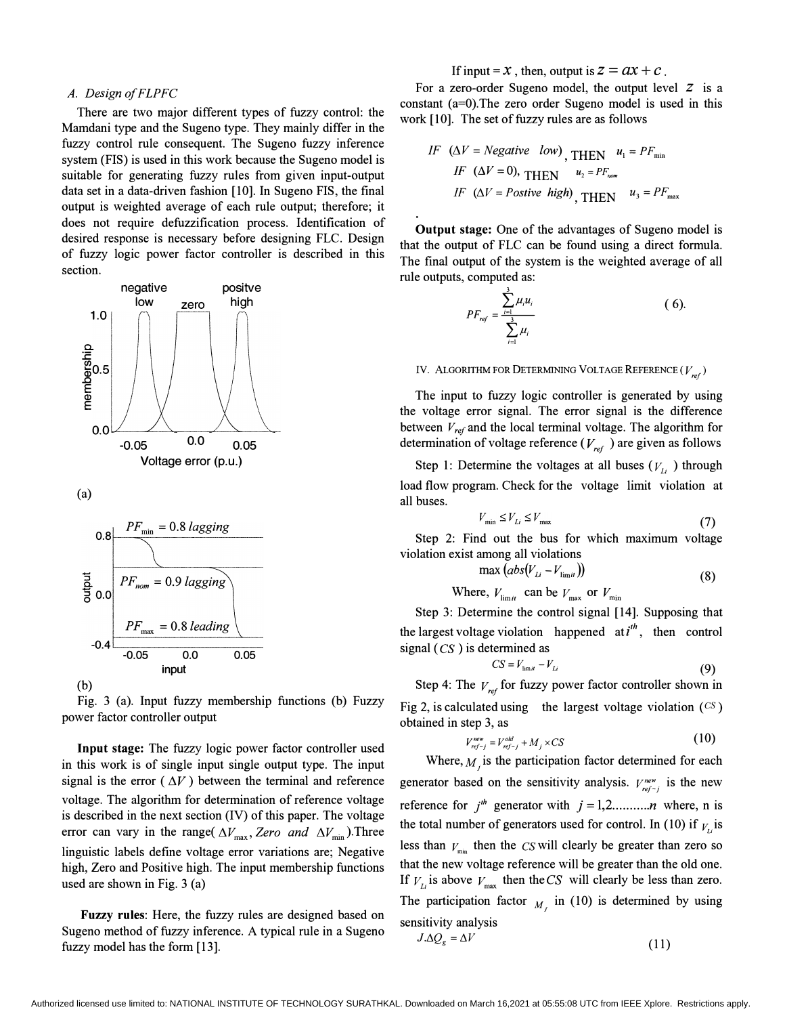## A. Design of FLPFC

There are two major different types of fuzzy control: the Mamdani type and the Sugeno type. They mainly differ in the fuzzy control rule consequent. The Sugeno fuzzy inference system (FIS) is used in this work because the Sugeno model is suitable for generating fuzzy rules from given input-output data set in a data-driven fashion [10]. In Sugeno FIS, the final output is weighted average of each rule output; therefore; it does not require defuzzification process. Identification of desired response is necessary before designing FLC. Design of fuzzy logic power factor controller is described in this section.





Fig. 3 (a). Input fuzzy membership functions (b) Fuzzy power factor controller output

Input stage: The fuzzy logic power factor controller used in this work is of single input single output type. The input signal is the error ( $\Delta V$ ) between the terminal and reference voltage. The algorithm for determination of reference voltage is described in the next section (IV) of this paper. The voltage error can vary in the range(  $\Delta V_{\text{max}}$ , Zero and  $\Delta V_{\text{min}}$ ). Three linguistic labels define voltage error variations are; Negative high, Zero and Positive high. The input membership functions used are shown in Fig. 3 (a)

Fuzzy rules: Here, the fuzzy rules are designed based on Sugeno method of fuzzy inference. A typical rule in a Sugeno fuzzy model has the form [13].

If input =  $x$ , then, output is  $z = ax + c$ .

For a zero-order Sugeno model, the output level Z is a constant (a=O).The zero order Sugeno model is used in this work [10]. The set of fuzzy rules are as follows

*IF* (
$$
\Delta V = Negative low
$$
), THEN  $u_1 = PF_{min}$   
\n*IF* ( $\Delta V = 0$ ), THEN  $u_2 = PF_{nom}$   
\n*IF* ( $\Delta V = Positive high$ ), THEN  $u_3 = PF_{max}$ 

Output stage: One of the advantages of Sugeno model is that the output of FLC can be found using a direct formula. The final output of the system is the weighted average of all rule outputs, computed as:

$$
PF_{ref} = \frac{\sum_{i=1}^{3} \mu_i u_i}{\sum_{i=1}^{3} \mu_i}
$$
 (6).

# IV. ALGORITHM FOR DETERMINING VOLTAGE REFERENCE ( $V_{ref}$ )

The input to fuzzy logic controller is generated by using the voltage error signal. The error signal is the difference between  $V_{ref}$  and the local terminal voltage. The algorithm for determination of voltage reference ( $V_{ref}$ ) are given as follows

Step 1: Determine the voltages at all buses  $(V_{L_i})$  through load flow program. Check for the voltage limit violation at all buses.

$$
V_{\min} \le V_{Li} \le V_{\max} \tag{7}
$$

Step 2: Find out the bus for which maximum voltage violation exist among all violations

$$
\max(\overline{abs}(V_{Li} - V_{\text{limif}}))
$$
\n(8)

Where,  $V_{\text{limit}}$  can be  $V_{\text{max}}$  or  $V_{\text{min}}$ 

Step 3: Determine the control signal [14]. Supposing that the largest voltage violation happened at  $i^{th}$ , then control signal  $(CS)$  is determined as

$$
CS = V_{\text{limit}} - V_{\text{Li}} \tag{9}
$$

Step 4: The  $V_{ref}$  for fuzzy power factor controller shown in Fig 2, is calculated using the largest voltage violation  $(C<sup>S</sup>)$ obtained in step 3, as

$$
V_{ref-j}^{new} = V_{ref-j}^{old} + M_j \times CS
$$
 (10)

Where,  $M_i$  is the participation factor determined for each generator based on the sensitivity analysis.  $V_{ref-j}^{new}$  is the new reference for  $j<sup>th</sup>$  generator with  $j = 1, 2, \dots, n$  where, n is the total number of generators used for control. In (10) if  $V_{ts}$  is less than  $V_{\text{min}}$  then the *CS* will clearly be greater than zero so that the new voltage reference will be greater than the old one. If  $V_{Li}$  is above  $V_{max}$  then the CS will clearly be less than zero. The participation factor  $M_i$  in (10) is determined by using sensitivity analysis

$$
J.\Delta Q_s = \Delta V \tag{11}
$$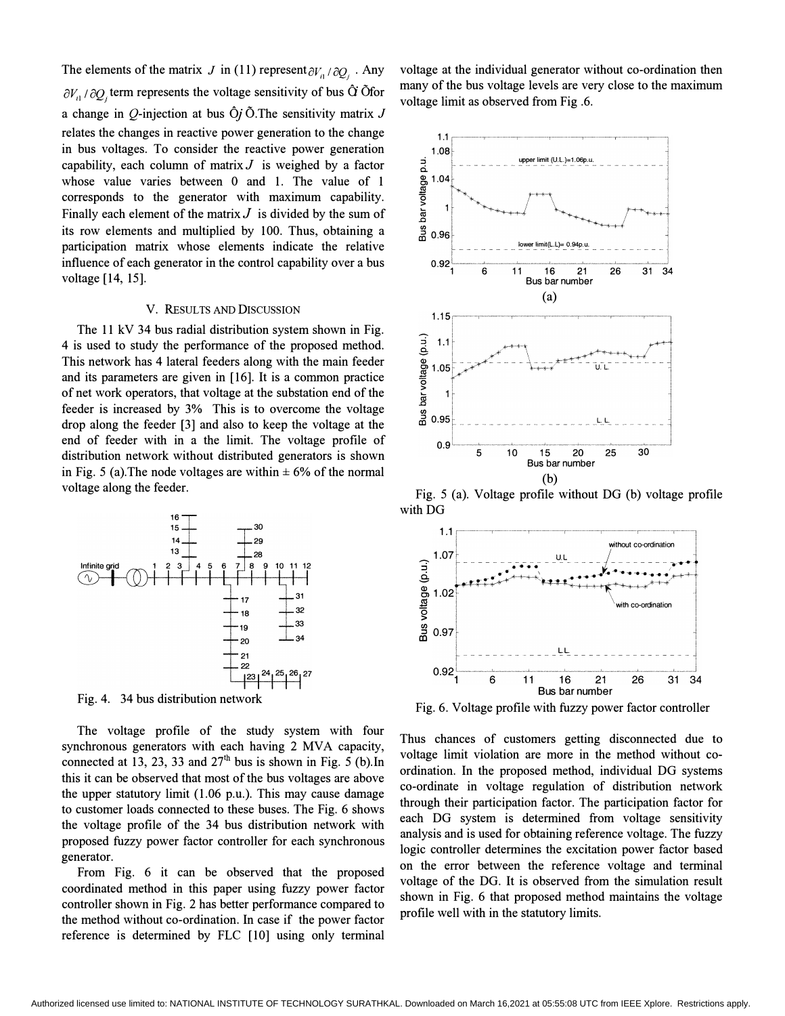The elements of the matrix J in (11) represent  $\partial V_{il}/\partial Q_{jl}$ . Any  $\partial V_{\text{n}}/\partial Q_{\text{j}}$  term represents the voltage sensitivity of bus  $\hat{Q}$  Ofor a change in Q-injection at bus  $\hat{O}$ *j* $\tilde{O}$ . The sensitivity matrix J relates the changes in reactive power generation to the change in bus voltages. To consider the reactive power generation capability, each column of matrix  $J$  is weighed by a factor whose value varies between 0 and 1. The value of 1 corresponds to the generator with maximum capability. Finally each element of the matrix  $J$  is divided by the sum of its row elements and mUltiplied by 100. Thus, obtaining a participation matrix whose elements indicate the relative influence of each generator in the control capability over a bus voltage [14, 15].

## V. RESULTS AND DISCUSSION

The 11 kV 34 bus radial distribution system shown in Fig. 4 is used to study the performance of the proposed method. This network has 4 lateral feeders along with the main feeder and its parameters are given in [16]. It is a common practice of net work operators, that voltage at the substation end of the feeder is increased by 3% This is to overcome the voltage drop along the feeder [3] and also to keep the voltage at the end of feeder with in a the limit. The voltage profile of distribution network without distributed generators is shown in Fig. 5 (a). The node voltages are within  $\pm$  6% of the normal voltage along the feeder.



Fig. 4. 34 bus distribution network

The voltage profile of the study system with four synchronous generators with each having 2 MVA capacity, connected at 13, 23, 33 and  $27<sup>th</sup>$  bus is shown in Fig. 5 (b). In this it can be observed that most of the bus voltages are above the upper statutory limit (1.06 p.u.). This may cause damage to customer loads connected to these buses. The Fig. 6 shows the voltage profile of the 34 bus distribution network with proposed fuzzy power factor controller for each synchronous generator.

From Fig. 6 it can be observed that the proposed coordinated method in this paper using fuzzy power factor controller shown in Fig. 2 has better performance compared to the method without co-ordination. In case if the power factor reference is determined by FLC [10] using only terminal voltage at the individual generator without co-ordination then many of the bus voltage levels are very close to the maximum voltage limit as observed from Fig .6.



Fig. 5 (a). Voltage profile without DG (b) voltage profile with DG



Fig. 6. Voltage profile with fuzzy power factor controller

Thus chances of customers getting disconnected due to voltage limit violation are more in the method without coordination. In the proposed method, individual DG systems co-ordinate in voltage regulation of distribution network through their participation factor. The participation factor for each DG system is determined from voltage sensitivity analysis and is used for obtaining reference voltage. The fuzzy logic controller determines the excitation power factor based on the error between the reference voltage and terminal voltage of the DG. It is observed from the simulation result shown in Fig. 6 that proposed method maintains the voltage profile well with in the statutory limits.